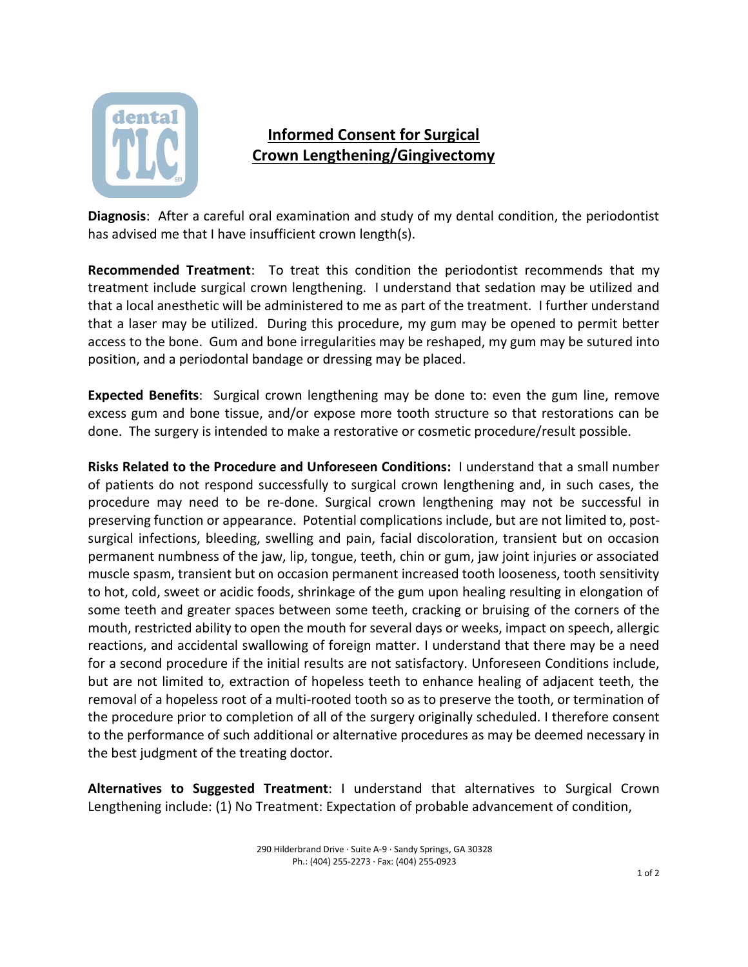

## **Informed Consent for Surgical Crown Lengthening/Gingivectomy**

**Diagnosis**: After a careful oral examination and study of my dental condition, the periodontist has advised me that I have insufficient crown length(s).

**Recommended Treatment**: To treat this condition the periodontist recommends that my treatment include surgical crown lengthening. I understand that sedation may be utilized and that a local anesthetic will be administered to me as part of the treatment. I further understand that a laser may be utilized. During this procedure, my gum may be opened to permit better access to the bone. Gum and bone irregularities may be reshaped, my gum may be sutured into position, and a periodontal bandage or dressing may be placed.

**Expected Benefits**: Surgical crown lengthening may be done to: even the gum line, remove excess gum and bone tissue, and/or expose more tooth structure so that restorations can be done. The surgery is intended to make a restorative or cosmetic procedure/result possible.

**Risks Related to the Procedure and Unforeseen Conditions:** I understand that a small number of patients do not respond successfully to surgical crown lengthening and, in such cases, the procedure may need to be re-done. Surgical crown lengthening may not be successful in preserving function or appearance. Potential complications include, but are not limited to, postsurgical infections, bleeding, swelling and pain, facial discoloration, transient but on occasion permanent numbness of the jaw, lip, tongue, teeth, chin or gum, jaw joint injuries or associated muscle spasm, transient but on occasion permanent increased tooth looseness, tooth sensitivity to hot, cold, sweet or acidic foods, shrinkage of the gum upon healing resulting in elongation of some teeth and greater spaces between some teeth, cracking or bruising of the corners of the mouth, restricted ability to open the mouth for several days or weeks, impact on speech, allergic reactions, and accidental swallowing of foreign matter. I understand that there may be a need for a second procedure if the initial results are not satisfactory. Unforeseen Conditions include, but are not limited to, extraction of hopeless teeth to enhance healing of adjacent teeth, the removal of a hopeless root of a multi-rooted tooth so as to preserve the tooth, or termination of the procedure prior to completion of all of the surgery originally scheduled. I therefore consent to the performance of such additional or alternative procedures as may be deemed necessary in the best judgment of the treating doctor.

**Alternatives to Suggested Treatment**: I understand that alternatives to Surgical Crown Lengthening include: (1) No Treatment: Expectation of probable advancement of condition,